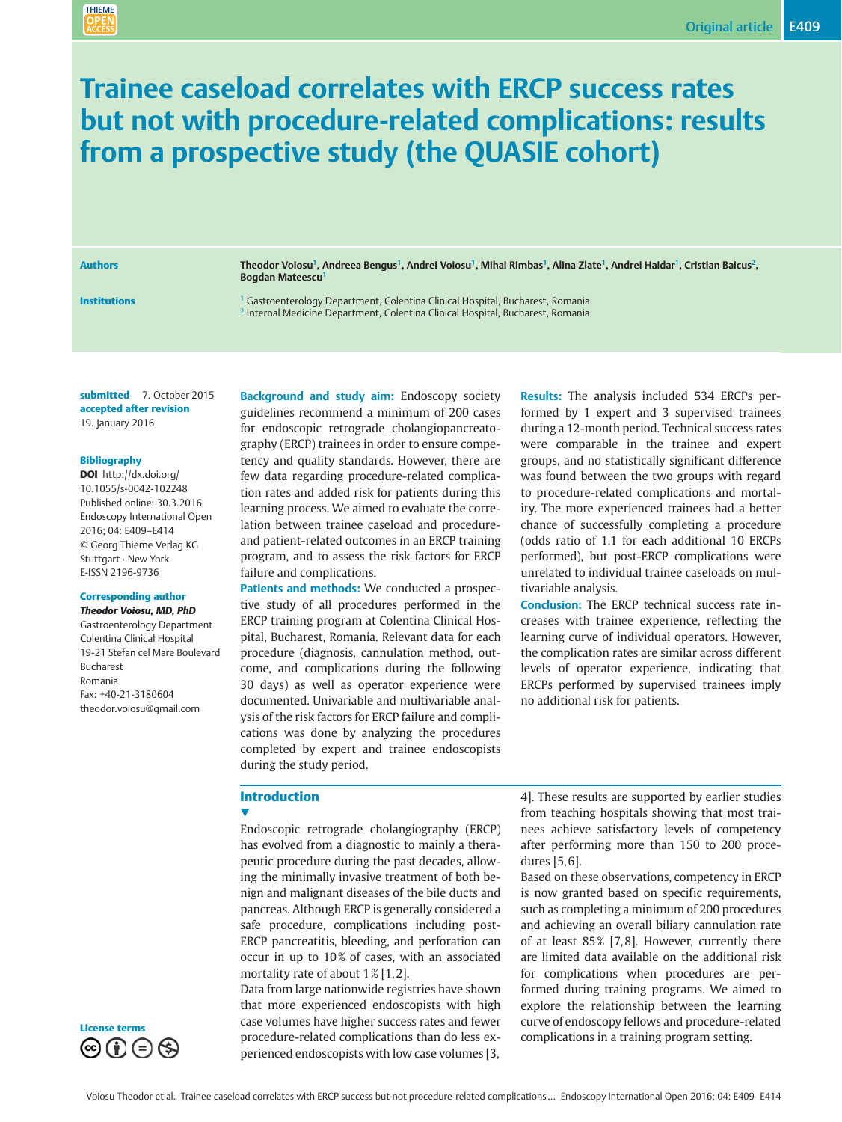## Trainee caseload correlates with ERCP success rates but not with procedure-related complications: results from a prospective study (the QUASIE cohort)

**THIEME** 

Authors Theodor Voiosu<sup>1</sup>, Andreea Bengus<sup>1</sup>, Andrei Voiosu<sup>1</sup>, Mihai Rimbas<sup>1</sup>, Alina Zlate<sup>1</sup>, Andrei Haidar<sup>1</sup>, Cristian Baicus<sup>2</sup>, Bogdan Mateescu<sup>1</sup>

**Institutions** 1 Gastroenterology Department, Colentina Clinical Hospital, Bucharest, Romania <sup>2</sup> Internal Medicine Department, Colentina Clinical Hospital, Bucharest, Romania

submitted 7. October 2015 accepted after revision 19. January 2016

#### Bibliography

DOI http://dx.doi.org/ 10.1055/s-0042-102248 Published online: 30.3.2016 Endoscopy International Open 2016; 04: E409–E414 © Georg Thieme Verlag KG Stuttgart · New York E-ISSN 2196-9736

#### Corresponding author

Theodor Voiosu, MD, PhD Gastroenterology Department Colentina Clinical Hospital 19-21 Stefan cel Mare Boulevard Bucharest Romania Fax: +40-21-3180604 theodor.voiosu@gmail.com

Background and study aim: Endoscopy society guidelines recommend a minimum of 200 cases for endoscopic retrograde cholangiopancreatography (ERCP) trainees in order to ensure competency and quality standards. However, there are few data regarding procedure-related complication rates and added risk for patients during this learning process. We aimed to evaluate the correlation between trainee caseload and procedureand patient-related outcomes in an ERCP training program, and to assess the risk factors for ERCP failure and complications.

Patients and methods: We conducted a prospective study of all procedures performed in the ERCP training program at Colentina Clinical Hospital, Bucharest, Romania. Relevant data for each procedure (diagnosis, cannulation method, outcome, and complications during the following 30 days) as well as operator experience were documented. Univariable and multivariable analysis of the risk factors for ERCP failure and complications was done by analyzing the procedures completed by expert and trainee endoscopists during the study period.

Results: The analysis included 534 ERCPs performed by 1 expert and 3 supervised trainees during a 12-month period. Technical success rates were comparable in the trainee and expert groups, and no statistically significant difference was found between the two groups with regard to procedure-related complications and mortality. The more experienced trainees had a better chance of successfully completing a procedure (odds ratio of 1.1 for each additional 10 ERCPs performed), but post-ERCP complications were unrelated to individual trainee caseloads on multivariable analysis.

Conclusion: The ERCP technical success rate increases with trainee experience, reflecting the learning curve of individual operators. However, the complication rates are similar across different levels of operator experience, indicating that ERCPs performed by supervised trainees imply no additional risk for patients.

## Introduction

#### $\blacktriangledown$

Endoscopic retrograde cholangiography (ERCP) has evolved from a diagnostic to mainly a therapeutic procedure during the past decades, allowing the minimally invasive treatment of both benign and malignant diseases of the bile ducts and pancreas. Although ERCP is generally considered a safe procedure, complications including post-ERCP pancreatitis, bleeding, and perforation can occur in up to 10% of cases, with an associated mortality rate of about  $1\%$  [1,2].

Data from large nationwide registries have shown that more experienced endoscopists with high case volumes have higher success rates and fewer procedure-related complications than do less experienced endoscopists with low case volumes [3,

4]. These results are supported by earlier studies from teaching hospitals showing that most trainees achieve satisfactory levels of competency after performing more than 150 to 200 procedures [5, 6].

Based on these observations, competency in ERCP is now granted based on specific requirements, such as completing a minimum of 200 procedures and achieving an overall biliary cannulation rate of at least 85% [7,8]. However, currently there are limited data available on the additional risk for complications when procedures are performed during training programs. We aimed to explore the relationship between the learning curve of endoscopy fellows and procedure-related complications in a training program setting.

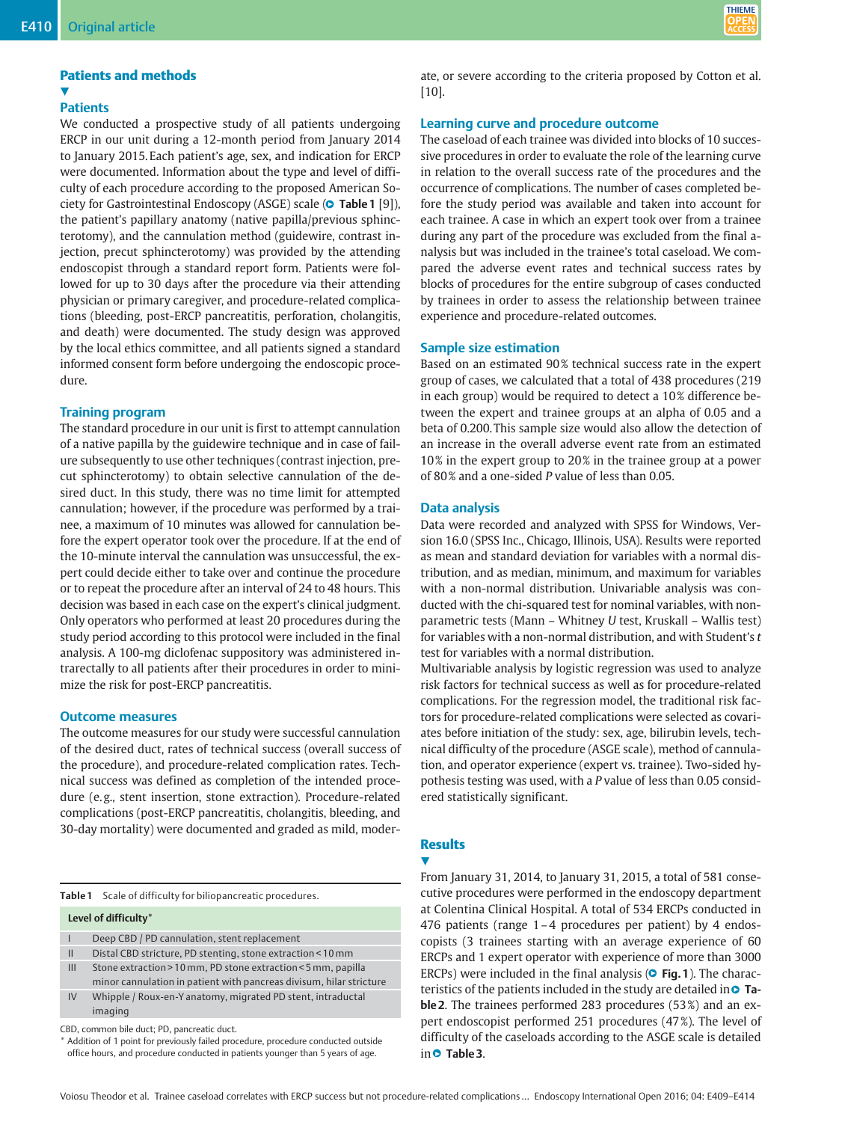# **THIEME**

## Patients and methods

#### v, **Patients**

We conducted a prospective study of all patients undergoing ERCP in our unit during a 12-month period from January 2014 to January 2015. Each patient's age, sex, and indication for ERCP were documented. Information about the type and level of difficulty of each procedure according to the proposed American Society for Gastrointestinal Endoscopy (ASGE) scale ( $\bullet$  **Table 1** [9]), the patient's papillary anatomy (native papilla/previous sphincterotomy), and the cannulation method (guidewire, contrast injection, precut sphincterotomy) was provided by the attending endoscopist through a standard report form. Patients were followed for up to 30 days after the procedure via their attending physician or primary caregiver, and procedure-related complications (bleeding, post-ERCP pancreatitis, perforation, cholangitis, and death) were documented. The study design was approved by the local ethics committee, and all patients signed a standard informed consent form before undergoing the endoscopic procedure.

### Training program

The standard procedure in our unit is first to attempt cannulation of a native papilla by the guidewire technique and in case of failure subsequently to use other techniques (contrast injection, precut sphincterotomy) to obtain selective cannulation of the desired duct. In this study, there was no time limit for attempted cannulation; however, if the procedure was performed by a trainee, a maximum of 10 minutes was allowed for cannulation before the expert operator took over the procedure. If at the end of the 10-minute interval the cannulation was unsuccessful, the expert could decide either to take over and continue the procedure or to repeat the procedure after an interval of 24 to 48 hours. This decision was based in each case on the expert's clinical judgment. Only operators who performed at least 20 procedures during the study period according to this protocol were included in the final analysis. A 100-mg diclofenac suppository was administered intrarectally to all patients after their procedures in order to minimize the risk for post-ERCP pancreatitis.

#### Outcome measures

The outcome measures for our study were successful cannulation of the desired duct, rates of technical success (overall success of the procedure), and procedure-related complication rates. Technical success was defined as completion of the intended procedure (e. g., stent insertion, stone extraction). Procedure-related complications (post-ERCP pancreatitis, cholangitis, bleeding, and 30-day mortality) were documented and graded as mild, moder-

|                          | Table 1 Scale of difficulty for biliopancreatic procedures.                                                                          |
|--------------------------|--------------------------------------------------------------------------------------------------------------------------------------|
|                          | Level of difficulty*                                                                                                                 |
| $\overline{\phantom{a}}$ | Deep CBD / PD cannulation, stent replacement                                                                                         |
| $\mathbf{H}$             | Distal CBD stricture, PD stenting, stone extraction < 10 mm                                                                          |
| III                      | Stone extraction > 10 mm, PD stone extraction < 5 mm, papilla<br>minor cannulation in patient with pancreas divisum, hilar stricture |
| IV                       | Whipple / Roux-en-Y anatomy, migrated PD stent, intraductal<br>imaging                                                               |
|                          | CBD, common bile duct: PD, pancreatic duct                                                                                           |

CBD, common bile duct; PD, pancreatic duct.

\* Addition of 1 point for previously failed procedure, procedure conducted outside office hours, and procedure conducted in patients younger than 5 years of age.

ate, or severe according to the criteria proposed by Cotton et al. [10].

## Learning curve and procedure outcome

The caseload of each trainee was divided into blocks of 10 successive procedures in order to evaluate the role of the learning curve in relation to the overall success rate of the procedures and the occurrence of complications. The number of cases completed before the study period was available and taken into account for each trainee. A case in which an expert took over from a trainee during any part of the procedure was excluded from the final analysis but was included in the trainee's total caseload. We compared the adverse event rates and technical success rates by blocks of procedures for the entire subgroup of cases conducted by trainees in order to assess the relationship between trainee experience and procedure-related outcomes.

#### Sample size estimation

Based on an estimated 90% technical success rate in the expert group of cases, we calculated that a total of 438 procedures (219 in each group) would be required to detect a 10% difference between the expert and trainee groups at an alpha of 0.05 and a beta of 0.200. This sample size would also allow the detection of an increase in the overall adverse event rate from an estimated 10 % in the expert group to 20 % in the trainee group at a power of 80% and a one-sided P value of less than 0.05.

#### Data analysis

Data were recorded and analyzed with SPSS for Windows, Version 16.0 (SPSS Inc., Chicago, Illinois, USA). Results were reported as mean and standard deviation for variables with a normal distribution, and as median, minimum, and maximum for variables with a non-normal distribution. Univariable analysis was conducted with the chi-squared test for nominal variables, with nonparametric tests (Mann – Whitney U test, Kruskall – Wallis test) for variables with a non-normal distribution, and with Student's  $t$ test for variables with a normal distribution.

Multivariable analysis by logistic regression was used to analyze risk factors for technical success as well as for procedure-related complications. For the regression model, the traditional risk factors for procedure-related complications were selected as covariates before initiation of the study: sex, age, bilirubin levels, technical difficulty of the procedure (ASGE scale), method of cannulation, and operator experience (expert vs. trainee). Two-sided hypothesis testing was used, with a P value of less than 0.05 considered statistically significant.

## **Results**

**V** 

From January 31, 2014, to January 31, 2015, a total of 581 consecutive procedures were performed in the endoscopy department at Colentina Clinical Hospital. A total of 534 ERCPs conducted in 476 patients (range 1–4 procedures per patient) by 4 endoscopists (3 trainees starting with an average experience of 60 ERCPs and 1 expert operator with experience of more than 3000 ERCPs) were included in the final analysis (**O Fig. 1**). The characteristics of the patients included in the study are detailed in  $\bullet$  Table 2. The trainees performed 283 procedures (53%) and an expert endoscopist performed 251 procedures (47 %). The level of difficulty of the caseloads according to the ASGE scale is detailed in **O** Table 3.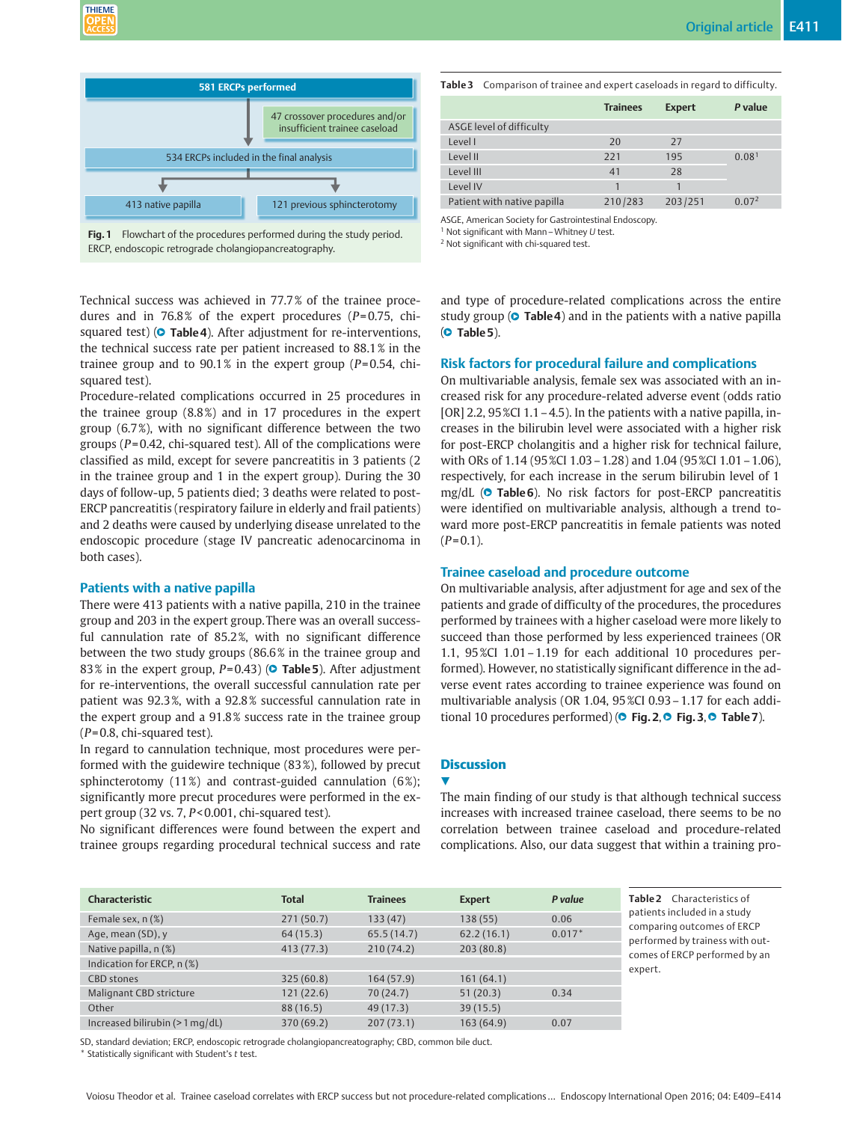

Fig. 1 Flowchart of the procedures performed during the study period. ERCP, endoscopic retrograde cholangiopancreatography.

Technical success was achieved in 77.7 % of the trainee procedures and in 76.8% of the expert procedures ( $P=0.75$ , chisquared test) (**© Table 4**). After adjustment for re-interventions, the technical success rate per patient increased to 88.1 % in the trainee group and to  $90.1\%$  in the expert group ( $P=0.54$ , chisquared test).

Procedure-related complications occurred in 25 procedures in the trainee group (8.8 %) and in 17 procedures in the expert group (6.7 %), with no significant difference between the two groups ( $P = 0.42$ , chi-squared test). All of the complications were classified as mild, except for severe pancreatitis in 3 patients (2 in the trainee group and 1 in the expert group). During the 30 days of follow-up, 5 patients died; 3 deaths were related to post-ERCP pancreatitis (respiratory failure in elderly and frail patients) and 2 deaths were caused by underlying disease unrelated to the endoscopic procedure (stage IV pancreatic adenocarcinoma in both cases).

### Patients with a native papilla

There were 413 patients with a native papilla, 210 in the trainee group and 203 in the expert group. There was an overall successful cannulation rate of 85.2 %, with no significant difference between the two study groups (86.6 % in the trainee group and 83% in the expert group,  $P$ =0.43) ( $\bullet$  Table 5). After adjustment for re-interventions, the overall successful cannulation rate per patient was 92.3 %, with a 92.8 % successful cannulation rate in the expert group and a 91.8 % success rate in the trainee group  $(P= 0.8, \text{ chi-squared test}).$ 

In regard to cannulation technique, most procedures were performed with the guidewire technique (83 %), followed by precut sphincterotomy  $(11\%)$  and contrast-guided cannulation  $(6\%)$ ; significantly more precut procedures were performed in the expert group (32 vs. 7, P< 0.001, chi-squared test).

No significant differences were found between the expert and trainee groups regarding procedural technical success and rate Table 3 Comparison of trainee and expert caseloads in regard to difficulty.

|                             | <b>Trainees</b> | <b>Expert</b> | P value           |
|-----------------------------|-----------------|---------------|-------------------|
| ASGE level of difficulty    |                 |               |                   |
| Level I                     | 20              | 27            |                   |
| Level II                    | 221             | 195           | 0.08 <sup>1</sup> |
| Level III                   | 41              | 28            |                   |
| Level IV                    |                 |               |                   |
| Patient with native papilla | 210/283         | 203/251       | 0.07 <sup>2</sup> |

ASGE, American Society for Gastrointestinal Endoscopy.

<sup>1</sup> Not significant with Mann – Whitney  $U$  test.

<sup>2</sup> Not significant with chi-squared test.

and type of procedure-related complications across the entire study group ( $\circ$  Table 4) and in the patients with a native papilla (**O** Table 5).

#### Risk factors for procedural failure and complications

On multivariable analysis, female sex was associated with an increased risk for any procedure-related adverse event (odds ratio [OR] 2.2,  $95\%$ CI 1.1 – 4.5). In the patients with a native papilla, increases in the bilirubin level were associated with a higher risk for post-ERCP cholangitis and a higher risk for technical failure, with ORs of 1.14 (95 %CI 1.03 - 1.28) and 1.04 (95 %CI 1.01 - 1.06), respectively, for each increase in the serum bilirubin level of 1 mg/dL (O Table 6). No risk factors for post-ERCP pancreatitis were identified on multivariable analysis, although a trend toward more post-ERCP pancreatitis in female patients was noted  $(P= 0.1)$ .

#### Trainee caseload and procedure outcome

On multivariable analysis, after adjustment for age and sex of the patients and grade of difficulty of the procedures, the procedures performed by trainees with a higher caseload were more likely to succeed than those performed by less experienced trainees (OR 1.1, 95 %CI 1.01–1.19 for each additional 10 procedures performed). However, no statistically significant difference in the adverse event rates according to trainee experience was found on multivariable analysis (OR 1.04, 95 %CI 0.93–1.17 for each additional 10 procedures performed) (**O Fig. 2, O Fig. 3, O Table 7**).

## **Discussion**

#### **17**

The main finding of our study is that although technical success increases with increased trainee caseload, there seems to be no correlation between trainee caseload and procedure-related complications. Also, our data suggest that within a training pro-

| <b>Characteristic</b>            | <b>Total</b> | <b>Trainees</b> | <b>Expert</b> | P value  |
|----------------------------------|--------------|-----------------|---------------|----------|
| Female sex, n (%)                | 271(50.7)    | 133(47)         | 138(55)       | 0.06     |
| Age, mean (SD), y                | 64(15.3)     | 65.5(14.7)      | 62.2(16.1)    | $0.017*$ |
| Native papilla, n (%)            | 413(77.3)    | 210(74.2)       | 203(80.8)     |          |
| Indication for ERCP, n (%)       |              |                 |               |          |
| <b>CBD</b> stones                | 325(60.8)    | 164(57.9)       | 161(64.1)     |          |
| Malignant CBD stricture          | 121(22.6)    | 70(24.7)        | 51(20.3)      | 0.34     |
| Other                            | 88 (16.5)    | 49 (17.3)       | 39(15.5)      |          |
| Increased bilirubin $(>1$ mg/dL) | 370 (69.2)   | 207(73.1)       | 163(64.9)     | 0.07     |

SD, standard deviation; ERCP, endoscopic retrograde cholangiopancreatography; CBD, common bile duct.

Statistically significant with Student's  $t$  test.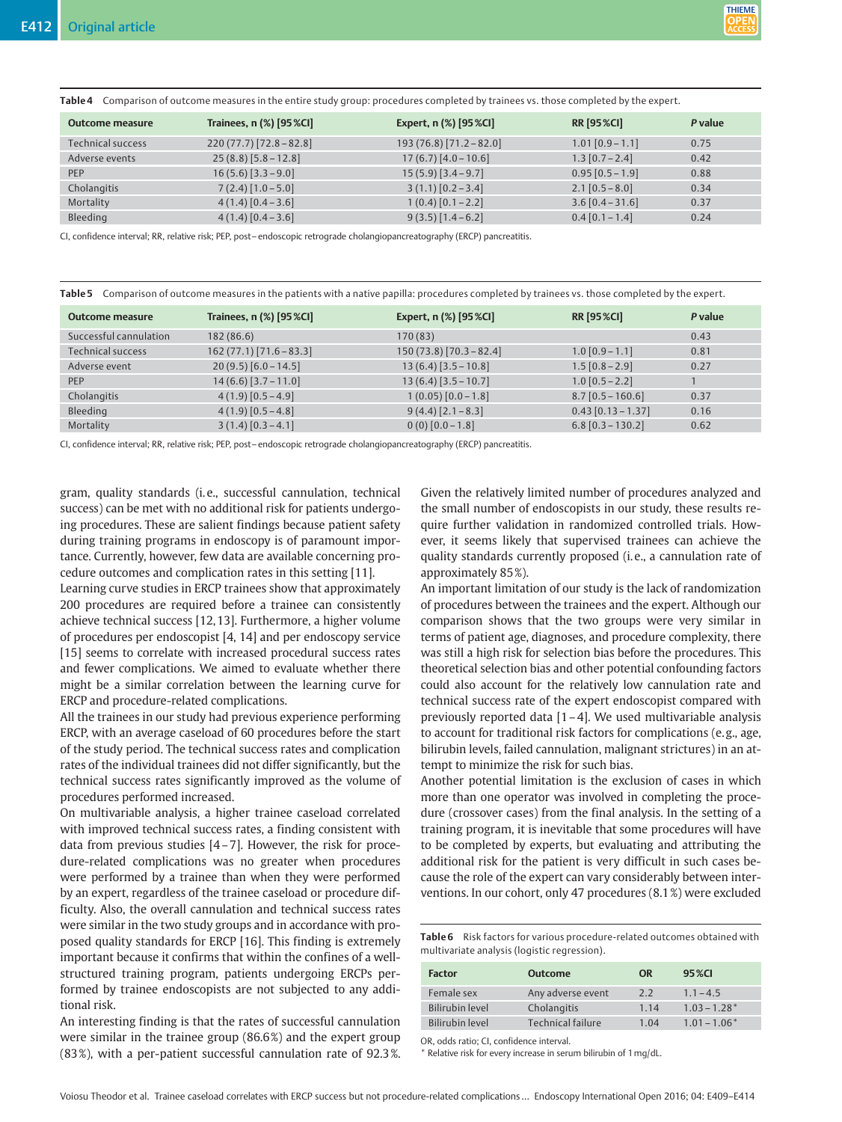Table 4 Comparison of outcome measures in the entire study group: procedures completed by trainees vs. those completed by the expert.

| Outcome measure   | Trainees, n (%) [95 %Cl] | Expert, n (%) [95 %CI]   | <b>RR [95 %CI]</b>   | P value |
|-------------------|--------------------------|--------------------------|----------------------|---------|
| Technical success | $220(77.7)[72.8-82.8]$   | $193(76.8)[71.2 - 82.0]$ | $1.01$ [0.9 – 1.1]   | 0.75    |
| Adverse events    | $25(8.8)$ [5.8 – 12.8]   | $17(6.7)$ [4.0 – 10.6]   | $1.3$ [0.7 – 2.4]    | 0.42    |
| PEP               | $16(5.6)$ [3.3 – 9.0]    | $15(5.9)$ [3.4 – 9.7]    | $0.95$ $[0.5 - 1.9]$ | 0.88    |
| Cholangitis       | $7(2.4)$ [1.0 – 5.0]     | $3(1.1)$ [0.2 – 3.4]     | $2.1$ [0.5 – 8.0]    | 0.34    |
| Mortality         | $4(1.4)[0.4-3.6]$        | $1(0.4)[0.1 - 2.2]$      | $3.6$ [0.4 – 31.6]   | 0.37    |
| Bleeding          | $4(1.4)[0.4-3.6]$        | $9(3.5)[1.4-6.2]$        | $0.4$ [0.1 – 1.4]    | 0.24    |

CI, confidence interval; RR, relative risk; PEP, post– endoscopic retrograde cholangiopancreatography (ERCP) pancreatitis.

Table 5 Comparison of outcome measures in the patients with a native papilla: procedures completed by trainees vs. those completed by the expert.

| <b>Outcome measure</b> | Trainees, n (%) [95 %Cl] | Expert, n (%) [95 %CI]    | <b>RR [95 %CI]</b>   | P value |
|------------------------|--------------------------|---------------------------|----------------------|---------|
| Successful cannulation | 182(86.6)                | 170 (83)                  |                      | 0.43    |
| Technical success      | $162(77.1)[71.6-83.3]$   | $150(73.8)$ [70.3 - 82.4] | $1.0$ [0.9 – 1.1]    | 0.81    |
| Adverse event          | $20(9.5)$ [6.0 – 14.5]   | $13(6.4)$ [3.5 – 10.8]    | $1.5$ [0.8 – 2.9]    | 0.27    |
| PEP                    | $14(6.6)$ [3.7 – 11.0]   | $13(6.4)$ [3.5 – 10.7]    | $1.0$ [0.5 – 2.2]    |         |
| Cholangitis            | $4(1.9)$ [0.5 – 4.9]     | $1(0.05)[0.0 - 1.8]$      | $8.7$ [0.5 – 160.6]  | 0.37    |
| Bleeding               | $4(1.9)$ [0.5 – 4.8]     | $9(4.4)$ [2.1-8.3]        | $0.43$ [0.13 - 1.37] | 0.16    |
| Mortality              | $3(1.4)[0.3 - 4.1]$      | $0(0)[0.0-1.8]$           | $6.8$ [0.3 – 130.2]  | 0.62    |

CI, confidence interval; RR, relative risk; PEP, post– endoscopic retrograde cholangiopancreatography (ERCP) pancreatitis.

gram, quality standards (i. e., successful cannulation, technical success) can be met with no additional risk for patients undergoing procedures. These are salient findings because patient safety during training programs in endoscopy is of paramount importance. Currently, however, few data are available concerning procedure outcomes and complication rates in this setting [11].

Learning curve studies in ERCP trainees show that approximately 200 procedures are required before a trainee can consistently achieve technical success [12, 13]. Furthermore, a higher volume of procedures per endoscopist [4, 14] and per endoscopy service [15] seems to correlate with increased procedural success rates and fewer complications. We aimed to evaluate whether there might be a similar correlation between the learning curve for ERCP and procedure-related complications.

All the trainees in our study had previous experience performing ERCP, with an average caseload of 60 procedures before the start of the study period. The technical success rates and complication rates of the individual trainees did not differ significantly, but the technical success rates significantly improved as the volume of procedures performed increased.

On multivariable analysis, a higher trainee caseload correlated with improved technical success rates, a finding consistent with data from previous studies [4–7]. However, the risk for procedure-related complications was no greater when procedures were performed by a trainee than when they were performed by an expert, regardless of the trainee caseload or procedure difficulty. Also, the overall cannulation and technical success rates were similar in the two study groups and in accordance with proposed quality standards for ERCP [16]. This finding is extremely important because it confirms that within the confines of a wellstructured training program, patients undergoing ERCPs performed by trainee endoscopists are not subjected to any additional risk.

An interesting finding is that the rates of successful cannulation were similar in the trainee group (86.6 %) and the expert group (83 %), with a per-patient successful cannulation rate of 92.3 %. Given the relatively limited number of procedures analyzed and the small number of endoscopists in our study, these results require further validation in randomized controlled trials. However, it seems likely that supervised trainees can achieve the quality standards currently proposed (i. e., a cannulation rate of approximately 85 %).

An important limitation of our study is the lack of randomization of procedures between the trainees and the expert. Although our comparison shows that the two groups were very similar in terms of patient age, diagnoses, and procedure complexity, there was still a high risk for selection bias before the procedures. This theoretical selection bias and other potential confounding factors could also account for the relatively low cannulation rate and technical success rate of the expert endoscopist compared with previously reported data [1–4]. We used multivariable analysis to account for traditional risk factors for complications (e. g., age, bilirubin levels, failed cannulation, malignant strictures) in an attempt to minimize the risk for such bias.

Another potential limitation is the exclusion of cases in which more than one operator was involved in completing the procedure (crossover cases) from the final analysis. In the setting of a training program, it is inevitable that some procedures will have to be completed by experts, but evaluating and attributing the additional risk for the patient is very difficult in such cases because the role of the expert can vary considerably between interventions. In our cohort, only 47 procedures (8.1 %) were excluded

Table 6 Risk factors for various procedure-related outcomes obtained with multivariate analysis (logistic regression).

| <b>Factor</b>   | <b>Outcome</b>    | <b>OR</b> | 95 % CI        |
|-----------------|-------------------|-----------|----------------|
| Female sex      | Any adverse event | 2.2       | $1.1 - 4.5$    |
| Bilirubin level | Cholangitis       | 1.14      | $1.03 - 1.28*$ |
| Bilirubin level | Technical failure | 1.04      | $1.01 - 1.06*$ |
|                 |                   |           |                |

OR, odds ratio; CI, confidence interval.

\* Relative risk for every increase in serum bilirubin of 1mg/dL.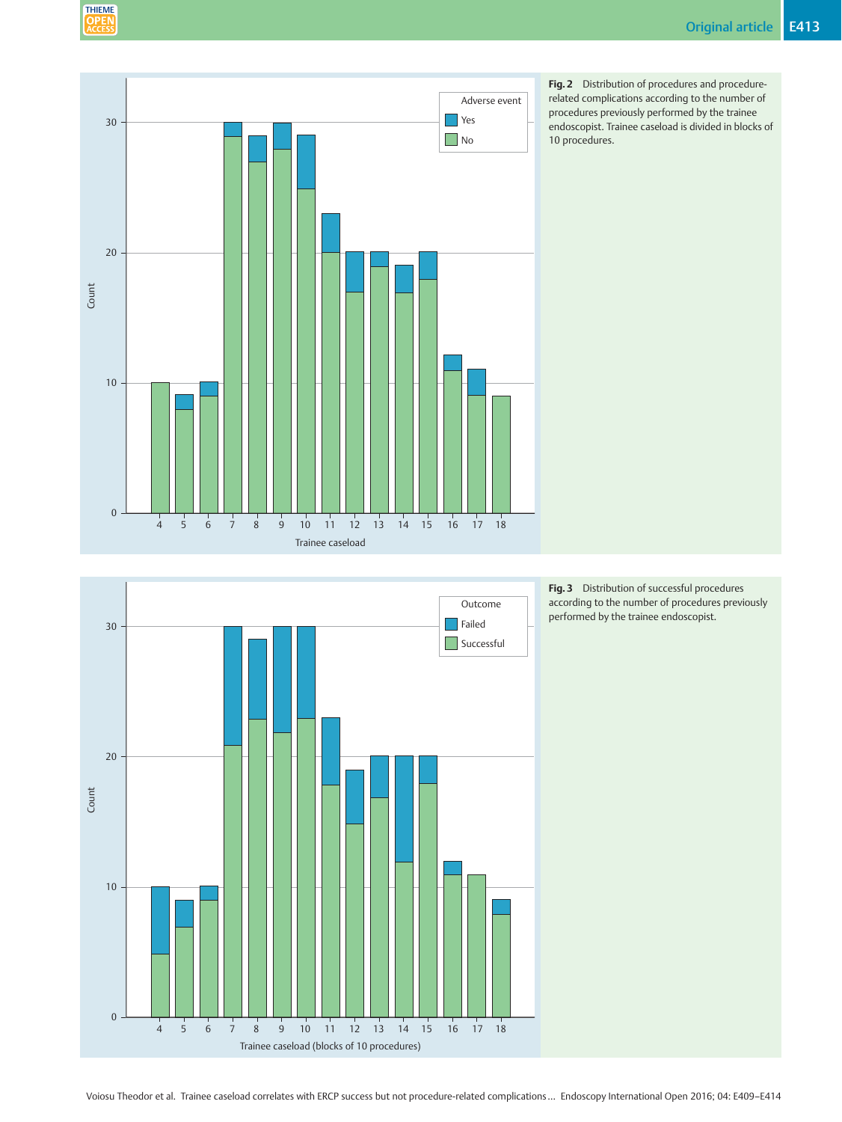





Fig. 3 Distribution of successful procedures according to the number of procedures previously performed by the trainee endoscopist.